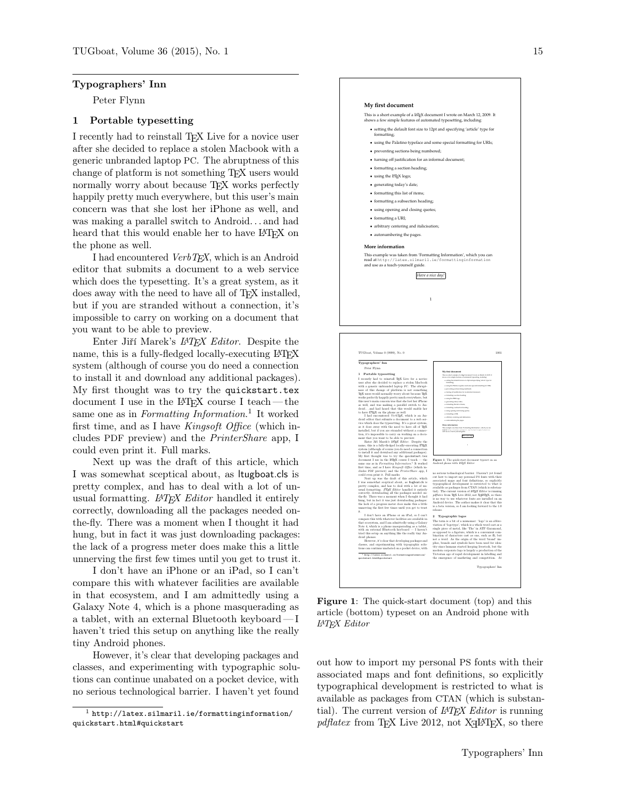#### Typographers' Inn

Peter Flynn

## 1 Portable typesetting

I recently had to reinstall TEX Live for a novice user after she decided to replace a stolen Macbook with a generic unbranded laptop PC. The abruptness of this change of platform is not something TEX users would normally worry about because T<sub>EX</sub> works perfectly happily pretty much everywhere, but this user's main concern was that she lost her iPhone as well, and was making a parallel switch to Android. . . and had heard that this would enable her to have LATEX on the phone as well.

I had encountered VerbTEX, which is an Android editor that submits a document to a web service which does the typesetting. It's a great system, as it does away with the need to have all of T<sub>E</sub>X installed, but if you are stranded without a connection, it's impossible to carry on working on a document that you want to be able to preview.

Enter Jiří Marek's L<sup>A</sup>TEX Editor. Despite the name, this is a fully-fledged locally-executing LAT<sub>EX</sub> system (although of course you do need a connection to install it and download any additional packages). My first thought was to try the quickstart.tex document I use in the LATEX course I teach— the same one as in *Formatting Information*.<sup>1</sup> It worked first time, and as I have Kingsoft Office (which includes PDF preview) and the PrinterShare app, I could even print it. Full marks.

Next up was the draft of this article, which I was somewhat sceptical about, as ltugboat.cls is pretty complex, and has to deal with a lot of unusual formatting.  $LATEX$  Editor handled it entirely correctly, downloading all the packages needed onthe-fly. There was a moment when I thought it had hung, but in fact it was just downloading packages: the lack of a progress meter does make this a little unnerving the first few times until you get to trust it.

I don't have an iPhone or an iPad, so I can't compare this with whatever facilities are available in that ecosystem, and I am admittedly using a Galaxy Note 4, which is a phone masquerading as a tablet, with an external Bluetooth keyboard— I haven't tried this setup on anything like the really tiny Android phones.

However, it's clear that developing packages and classes, and experimenting with typographic solutions can continue unabated on a pocket device, with no serious technological barrier. I haven't yet found



Figure 1: The quick-start document (top) and this article (bottom) typeset on an Android phone with LATEX Editor

out how to import my personal PS fonts with their associated maps and font definitions, so explicitly typographical development is restricted to what is available as packages from CTAN (which is substantial). The current version of  $\mathbb{A}T\mathbb{A}X$  Editor is running  $pdfatex$  from TEX Live 2012, not X<sub>H</sub>ET<sub>E</sub>X, so there

 $1$  http://latex.silmaril.ie/formattinginformation/ quickstart.html#quickstart